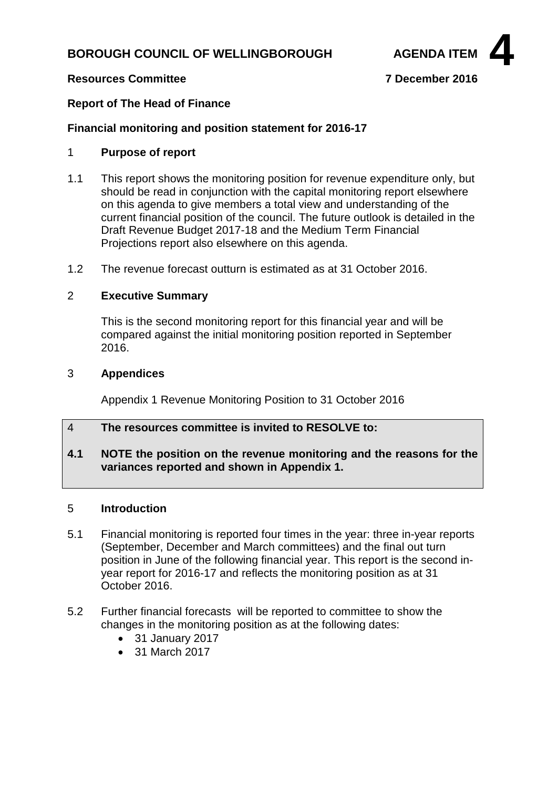## **BOROUGH COUNCIL OF WELLINGBOROUGH AGENDA ITEM**



## **Resources Committee 7 December 2016**

## **Report of The Head of Finance**

## **Financial monitoring and position statement for 2016-17**

## 1 **Purpose of report**

- 1.1 This report shows the monitoring position for revenue expenditure only, but should be read in conjunction with the capital monitoring report elsewhere on this agenda to give members a total view and understanding of the current financial position of the council. The future outlook is detailed in the Draft Revenue Budget 2017-18 and the Medium Term Financial Projections report also elsewhere on this agenda.
- 1.2 The revenue forecast outturn is estimated as at 31 October 2016.

#### 2 **Executive Summary**

This is the second monitoring report for this financial year and will be compared against the initial monitoring position reported in September 2016.

#### 3 **Appendices**

Appendix 1 Revenue Monitoring Position to 31 October 2016

## 4 **The resources committee is invited to RESOLVE to:**

## **4.1 NOTE the position on the revenue monitoring and the reasons for the variances reported and shown in Appendix 1.**

## 5 **Introduction**

- 5.1 Financial monitoring is reported four times in the year: three in-year reports (September, December and March committees) and the final out turn position in June of the following financial year. This report is the second inyear report for 2016-17 and reflects the monitoring position as at 31 October 2016.
- 5.2 Further financial forecasts will be reported to committee to show the changes in the monitoring position as at the following dates:
	- 31 January 2017
	- 31 March 2017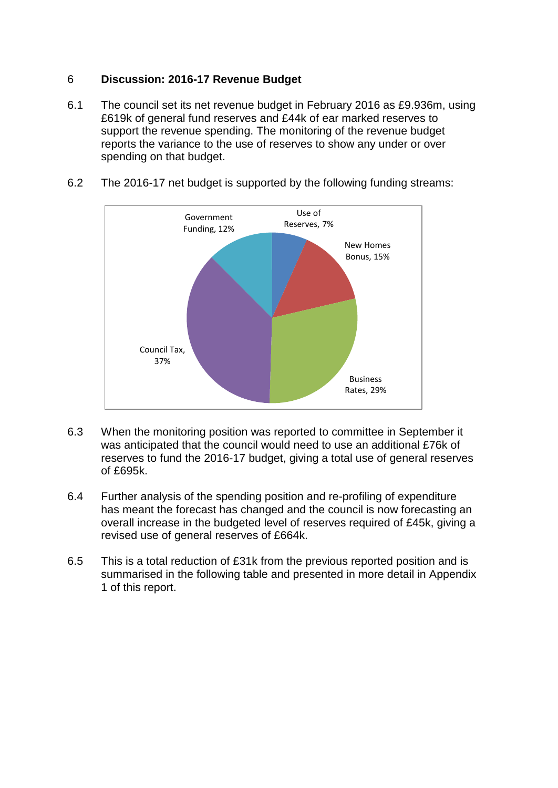## 6 **Discussion: 2016-17 Revenue Budget**

- 6.1 The council set its net revenue budget in February 2016 as £9.936m, using £619k of general fund reserves and £44k of ear marked reserves to support the revenue spending. The monitoring of the revenue budget reports the variance to the use of reserves to show any under or over spending on that budget.
- 6.2 The 2016-17 net budget is supported by the following funding streams:



- 6.3 When the monitoring position was reported to committee in September it was anticipated that the council would need to use an additional £76k of reserves to fund the 2016-17 budget, giving a total use of general reserves of £695k.
- 6.4 Further analysis of the spending position and re-profiling of expenditure has meant the forecast has changed and the council is now forecasting an overall increase in the budgeted level of reserves required of £45k, giving a revised use of general reserves of £664k.
- 6.5 This is a total reduction of £31k from the previous reported position and is summarised in the following table and presented in more detail in Appendix 1 of this report.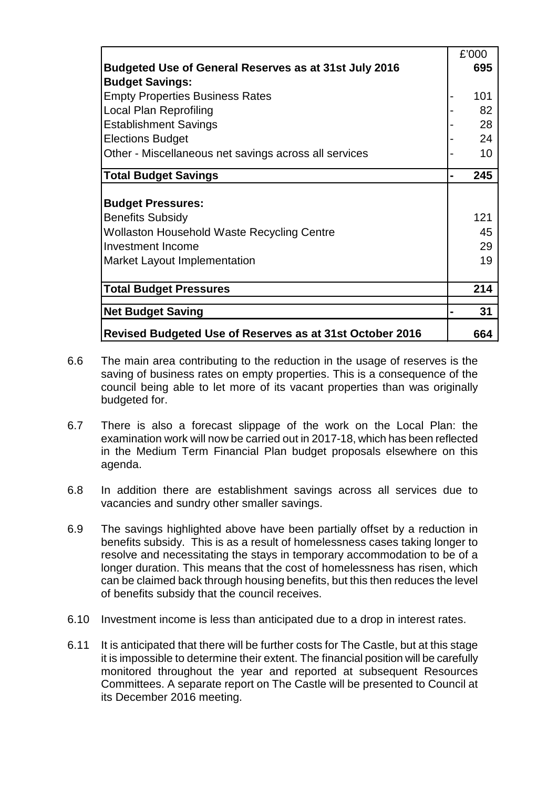|                                                          | £'000 |
|----------------------------------------------------------|-------|
| Budgeted Use of General Reserves as at 31st July 2016    | 695   |
| <b>Budget Savings:</b>                                   |       |
| <b>Empty Properties Business Rates</b>                   | 101   |
| Local Plan Reprofiling                                   | 82    |
| <b>Establishment Savings</b>                             | 28    |
| <b>Elections Budget</b>                                  | 24    |
| Other - Miscellaneous net savings across all services    | 10    |
| <b>Total Budget Savings</b>                              | 245   |
|                                                          |       |
| <b>Budget Pressures:</b>                                 |       |
| <b>Benefits Subsidy</b>                                  | 121   |
| Wollaston Household Waste Recycling Centre               | 45    |
| Investment Income                                        | 29    |
| Market Layout Implementation                             | 19    |
|                                                          |       |
| <b>Total Budget Pressures</b>                            | 214   |
| <b>Net Budget Saving</b>                                 | 31    |
| Revised Budgeted Use of Reserves as at 31st October 2016 | 664   |

- 6.6 The main area contributing to the reduction in the usage of reserves is the saving of business rates on empty properties. This is a consequence of the council being able to let more of its vacant properties than was originally budgeted for.
- 6.7 There is also a forecast slippage of the work on the Local Plan: the examination work will now be carried out in 2017-18, which has been reflected in the Medium Term Financial Plan budget proposals elsewhere on this agenda.
- 6.8 In addition there are establishment savings across all services due to vacancies and sundry other smaller savings.
- 6.9 The savings highlighted above have been partially offset by a reduction in benefits subsidy. This is as a result of homelessness cases taking longer to resolve and necessitating the stays in temporary accommodation to be of a longer duration. This means that the cost of homelessness has risen, which can be claimed back through housing benefits, but this then reduces the level of benefits subsidy that the council receives.
- 6.10 Investment income is less than anticipated due to a drop in interest rates.
- 6.11 It is anticipated that there will be further costs for The Castle, but at this stage it is impossible to determine their extent. The financial position will be carefully monitored throughout the year and reported at subsequent Resources Committees. A separate report on The Castle will be presented to Council at its December 2016 meeting.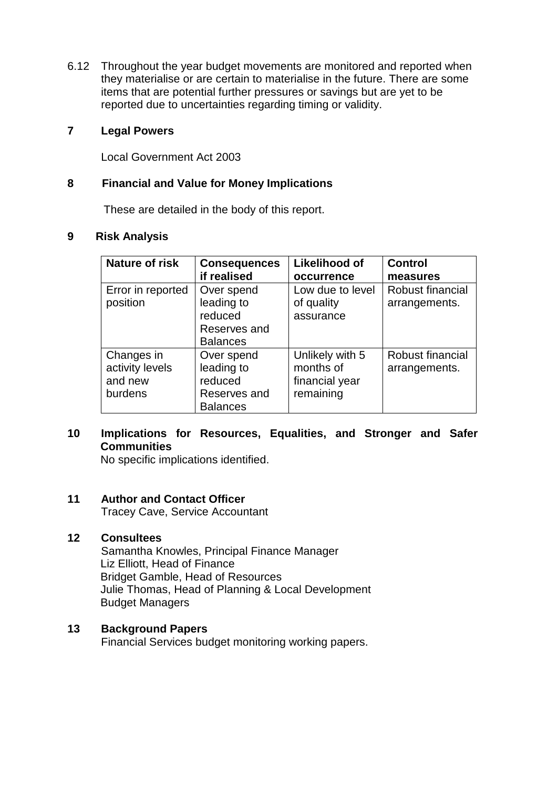6.12 Throughout the year budget movements are monitored and reported when they materialise or are certain to materialise in the future. There are some items that are potential further pressures or savings but are yet to be reported due to uncertainties regarding timing or validity.

## **7 Legal Powers**

Local Government Act 2003

## **8 Financial and Value for Money Implications**

These are detailed in the body of this report.

### **9 Risk Analysis**

| Nature of risk    | <b>Consequences</b> | <b>Likelihood of</b> | <b>Control</b>   |  |
|-------------------|---------------------|----------------------|------------------|--|
|                   | if realised         | occurrence           | measures         |  |
| Error in reported | Over spend          | Low due to level     | Robust financial |  |
| position          | leading to          | of quality           | arrangements.    |  |
|                   | reduced             | assurance            |                  |  |
|                   | Reserves and        |                      |                  |  |
|                   | <b>Balances</b>     |                      |                  |  |
| Changes in        | Over spend          | Unlikely with 5      | Robust financial |  |
| activity levels   | leading to          | months of            | arrangements.    |  |
| and new           | reduced             | financial year       |                  |  |
| burdens           | Reserves and        | remaining            |                  |  |
|                   | <b>Balances</b>     |                      |                  |  |

## **10 Implications for Resources, Equalities, and Stronger and Safer Communities**

No specific implications identified.

## **11 Author and Contact Officer**

Tracey Cave, Service Accountant

### **12 Consultees**

Samantha Knowles, Principal Finance Manager Liz Elliott, Head of Finance Bridget Gamble, Head of Resources Julie Thomas, Head of Planning & Local Development Budget Managers

## **13 Background Papers**

Financial Services budget monitoring working papers.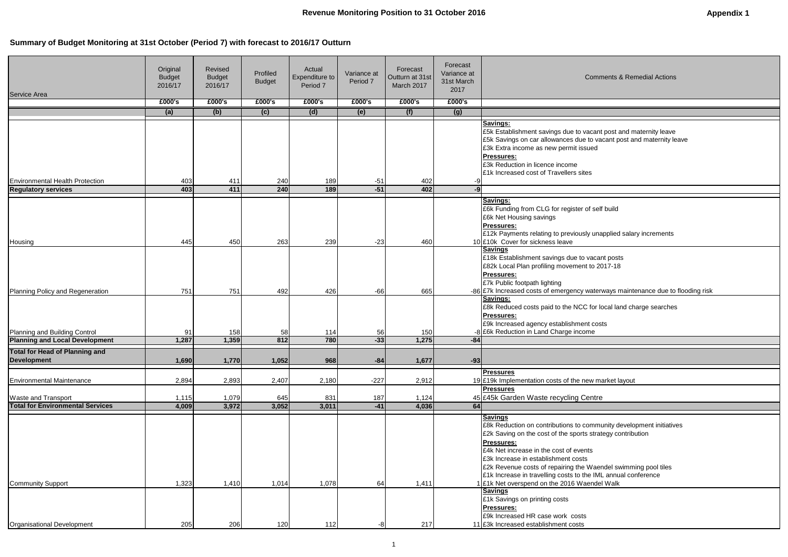## **Summary of Budget Monitoring at 31st October (Period 7) with forecast to 2016/17 Outturn**

cant posts £82k Local Plan profiling movement to 2017-18

terways maintenance due to flooding risk

f local land charge searches

market layout

munity development initiatives .<br>rategy contribution

aendel swimming pool tiles ML annual conference del Walk

| Service Area                                                           | Original<br><b>Budget</b><br>2016/17 | Revised<br><b>Budget</b><br>2016/17 | Profiled<br><b>Budget</b> | Actual<br>Expenditure to<br>Period <sub>7</sub> | Variance at<br>Period 7 | Forecast<br>Outturn at 31st<br>March 2017 | Forecast<br>Variance at<br>31st March<br>2017 | Comme                                                                                                                                                                                                                                                                                                                                                                                                                                                        |
|------------------------------------------------------------------------|--------------------------------------|-------------------------------------|---------------------------|-------------------------------------------------|-------------------------|-------------------------------------------|-----------------------------------------------|--------------------------------------------------------------------------------------------------------------------------------------------------------------------------------------------------------------------------------------------------------------------------------------------------------------------------------------------------------------------------------------------------------------------------------------------------------------|
|                                                                        | £000's                               | £000's                              | £000's                    | £000's                                          | £000's                  | £000's                                    | £000's                                        |                                                                                                                                                                                                                                                                                                                                                                                                                                                              |
|                                                                        | (a)                                  | (b)                                 | (c)                       | (d)                                             | (e)                     | (f)                                       | (g)                                           |                                                                                                                                                                                                                                                                                                                                                                                                                                                              |
|                                                                        |                                      |                                     |                           |                                                 |                         |                                           |                                               | Savings:<br>E5k Establishment savings due to vacant p<br>E5k Savings on car allowances due to vaca<br>£3k Extra income as new permit issued<br><b>Pressures:</b><br>£3k Reduction in licence income<br>£1k Increased cost of Travellers sites                                                                                                                                                                                                                |
| <b>Environmental Health Protection</b>                                 | 403                                  | 411                                 | 240                       | 189                                             | $-51$                   | 402                                       | -9                                            |                                                                                                                                                                                                                                                                                                                                                                                                                                                              |
| <b>Regulatory services</b>                                             | 403                                  | 411                                 | 240                       | 189                                             | $-51$                   | 402                                       | -9                                            |                                                                                                                                                                                                                                                                                                                                                                                                                                                              |
|                                                                        |                                      |                                     |                           |                                                 |                         |                                           |                                               | <b>Savings:</b><br>£6k Funding from CLG for register of self b<br>£6k Net Housing savings<br>Pressures:<br>E12k Payments relating to previously unap                                                                                                                                                                                                                                                                                                         |
| Housing                                                                | 445                                  | 450                                 | 263                       | 239                                             | $-23$                   | 460                                       |                                               | 10 £10k Cover for sickness leave                                                                                                                                                                                                                                                                                                                                                                                                                             |
| Planning Policy and Regeneration                                       | 751                                  | 751                                 | 492                       | 426                                             | $-66$                   | 665                                       |                                               | <b>Savings</b><br>£18k Establishment savings due to vacant<br>E82k Local Plan profiling movement to 201<br><b>Pressures:</b><br><b>£7k Public footpath lighting</b><br>-86 £7k Increased costs of emergency waterw<br>Savings:                                                                                                                                                                                                                               |
| Planning and Building Control<br><b>Planning and Local Development</b> | 91<br>1,287                          | 158<br>1,359                        | 58<br>812                 | 114<br>780                                      | 56<br>$-33$             | 150<br>1,275                              | $-84$                                         | £8k Reduced costs paid to the NCC for loo<br>Pressures:<br>£9k Increased agency establishment costs<br>-8 £6k Reduction in Land Charge income                                                                                                                                                                                                                                                                                                                |
|                                                                        |                                      |                                     |                           |                                                 |                         |                                           |                                               |                                                                                                                                                                                                                                                                                                                                                                                                                                                              |
| <b>Total for Head of Planning and</b><br><b>Development</b>            | 1,690                                | 1,770                               | 1,052                     | 968                                             | $-84$                   | 1,677                                     | $-93$                                         |                                                                                                                                                                                                                                                                                                                                                                                                                                                              |
| <b>Environmental Maintenance</b>                                       | 2,894                                | 2,893                               | 2,407                     | 2,180                                           | $-227$                  | 2,912                                     |                                               | <b>Pressures</b><br>19 £19k Implementation costs of the new mar<br><b>Pressures</b>                                                                                                                                                                                                                                                                                                                                                                          |
| <b>Waste and Transport</b>                                             | 1,115                                | 1,079                               | 645                       | 831                                             | 187                     | 1,124                                     |                                               | 45 £45k Garden Waste recycling Centre                                                                                                                                                                                                                                                                                                                                                                                                                        |
| <b>Total for Environmental Services</b>                                | 4,009                                | 3,972                               | 3,052                     | 3,011                                           | $-41$                   | 4,036                                     | 64                                            |                                                                                                                                                                                                                                                                                                                                                                                                                                                              |
| <b>Community Support</b>                                               | 1,323                                | 1,410                               | 1,014                     | 1,078                                           | 64                      | 1,411                                     |                                               | <b>Savings</b><br>£8k Reduction on contributions to commur<br>£2k Saving on the cost of the sports strate<br>Pressures:<br>£4k Net increase in the cost of events<br>£3k Increase in establishment costs<br>E2k Revenue costs of repairing the Waend<br>E1k Increase in travelling costs to the IML<br>1 £1k Net overspend on the 2016 Waendel \<br><b>Savings</b><br><b>£1k Savings on printing costs</b><br>Pressures:<br>E9k Increased HR case work costs |
| Organisational Development                                             | 205                                  | 206                                 | 120                       | 112                                             | -8                      | 217                                       |                                               | 11 £3k Increased establishment costs                                                                                                                                                                                                                                                                                                                                                                                                                         |

nments & Remedial Actions

ant post and maternity leave vacant post and maternity leave

elf build

Inapplied salary increments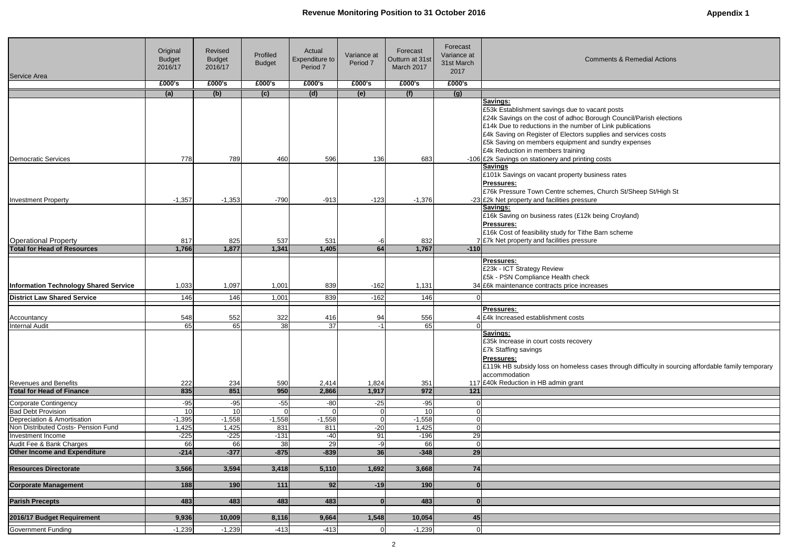| <b>Comments &amp; Remedial Actions</b>                                                                                               |  |  |  |  |  |  |  |
|--------------------------------------------------------------------------------------------------------------------------------------|--|--|--|--|--|--|--|
|                                                                                                                                      |  |  |  |  |  |  |  |
|                                                                                                                                      |  |  |  |  |  |  |  |
| vacant posts<br>Borough Council/Parish elections<br>ber of Link publications<br>supplies and services costs<br>t and sundry expenses |  |  |  |  |  |  |  |
| ting costs                                                                                                                           |  |  |  |  |  |  |  |
| business rates                                                                                                                       |  |  |  |  |  |  |  |
| es, Church St/Sheep St/High St<br>sure                                                                                               |  |  |  |  |  |  |  |
| 2k being Croyland)                                                                                                                   |  |  |  |  |  |  |  |
| he Barn scheme<br>sure                                                                                                               |  |  |  |  |  |  |  |
|                                                                                                                                      |  |  |  |  |  |  |  |
|                                                                                                                                      |  |  |  |  |  |  |  |
| эk<br>creases                                                                                                                        |  |  |  |  |  |  |  |
|                                                                                                                                      |  |  |  |  |  |  |  |
|                                                                                                                                      |  |  |  |  |  |  |  |
|                                                                                                                                      |  |  |  |  |  |  |  |

ases through difficulty in sourcing affordable family temporary

| Service Area                                                      | Original<br><b>Budget</b><br>2016/17 | Revised<br><b>Budget</b><br>2016/17 | Profiled<br><b>Budget</b> | Actual<br>Expenditure to<br>Period <sub>7</sub> | Variance at<br>Period 7 | Forecast<br>Outturn at 31st<br>March 2017 | Forecast<br>Variance at<br>31st March<br>2017 | <b>Comments &amp; Remedial Actions</b>                                                                                                                                                                                                                                                                                                                             |
|-------------------------------------------------------------------|--------------------------------------|-------------------------------------|---------------------------|-------------------------------------------------|-------------------------|-------------------------------------------|-----------------------------------------------|--------------------------------------------------------------------------------------------------------------------------------------------------------------------------------------------------------------------------------------------------------------------------------------------------------------------------------------------------------------------|
|                                                                   | £000's                               | £000's                              | £000's                    | £000's                                          | £000's                  | £000's                                    | £000's                                        |                                                                                                                                                                                                                                                                                                                                                                    |
|                                                                   | (a)                                  | (b)                                 | (c)                       | (d)                                             | (e)                     | (f)                                       | (g)                                           |                                                                                                                                                                                                                                                                                                                                                                    |
|                                                                   |                                      |                                     |                           |                                                 |                         |                                           |                                               | <b>Savings:</b><br>£53k Establishment savings due to vacant posts<br>£24k Savings on the cost of adhoc Borough Council/Parish elections<br>£14k Due to reductions in the number of Link publications<br>£4k Saving on Register of Electors supplies and services costs<br>£5k Saving on members equipment and sundry expenses<br>£4k Reduction in members training |
| <b>Democratic Services</b>                                        | 778                                  | 789                                 | 460                       | 596                                             | 136                     | 683                                       |                                               | -106 £2k Savings on stationery and printing costs                                                                                                                                                                                                                                                                                                                  |
| <b>Investment Property</b>                                        | $-1,357$                             | $-1,353$                            | $-790$                    | $-913$                                          | $-123$                  | $-1,376$                                  |                                               | <b>Savings</b><br>£101k Savings on vacant property business rates<br>Pressures:<br>£76k Pressure Town Centre schemes, Church St/Sheep St/High St<br>-23 £2k Net property and facilities pressure<br>Savings:<br>£16k Saving on business rates (£12k being Croyland)<br>Pressures:                                                                                  |
|                                                                   |                                      |                                     |                           |                                                 |                         |                                           |                                               | £16k Cost of feasibility study for Tithe Barn scheme                                                                                                                                                                                                                                                                                                               |
| <b>Operational Property</b><br><b>Total for Head of Resources</b> | 817<br>1,766                         | 825<br>1,877                        | 537<br>1,341              | 531<br>1,405                                    | -6<br>64                | 832<br>1,767                              | $-110$                                        | 7 £7k Net property and facilities pressure                                                                                                                                                                                                                                                                                                                         |
|                                                                   |                                      |                                     |                           |                                                 |                         |                                           |                                               |                                                                                                                                                                                                                                                                                                                                                                    |
| <b>Information Technology Shared Service</b>                      | 1,033                                | 1,097                               | 1,001                     | 839                                             | $-162$                  | 1,131                                     |                                               | <b>Pressures:</b><br>£23k - ICT Strategy Review<br>£5k - PSN Compliance Health check<br>34 £6k maintenance contracts price increases                                                                                                                                                                                                                               |
| <b>District Law Shared Service</b>                                | 146                                  | 146                                 | 1,001                     | 839                                             | $-162$                  | 146                                       | $\Omega$                                      |                                                                                                                                                                                                                                                                                                                                                                    |
| Accountancy<br><b>Internal Audit</b>                              | 548<br>65                            | 552<br>65                           | 322<br>38                 | 416<br>37                                       | 94<br>-1                | 556<br>65                                 | $\Omega$                                      | <b>Pressures:</b><br><b>£4k Increased establishment costs</b><br>Savings:                                                                                                                                                                                                                                                                                          |
| <b>Revenues and Benefits</b>                                      | 222                                  | 234                                 | 590                       | 2,414                                           | 1,824                   | 351                                       |                                               | £35k Increase in court costs recovery<br>£7k Staffing savings<br>Pressures:<br>£119k HB subsidy loss on homeless cases through difficulty in sourd<br>accommodation<br>117 £40k Reduction in HB admin grant                                                                                                                                                        |
| <b>Total for Head of Finance</b>                                  | 835                                  | 851                                 | 950                       | 2,866                                           | 1,917                   | 972                                       | 121                                           |                                                                                                                                                                                                                                                                                                                                                                    |
| <b>Corporate Contingency</b>                                      | $-95$                                | $-95$                               | $-55$                     | $-80$                                           | $-25$                   | $-95$                                     | $\overline{0}$                                |                                                                                                                                                                                                                                                                                                                                                                    |
| <b>Bad Debt Provision</b>                                         | 10 <sup>1</sup>                      | 10                                  |                           |                                                 |                         | 10                                        | $\mathbf 0$                                   |                                                                                                                                                                                                                                                                                                                                                                    |
| Depreciation & Amortisation                                       | $-1,395$                             | $-1,558$                            | $-1,558$                  | $-1,558$                                        |                         | $-1,558$                                  | $\pmb{0}$                                     |                                                                                                                                                                                                                                                                                                                                                                    |
| Non Distributed Costs- Pension Fund                               | 1,425                                | 1,425                               | 831                       | 811                                             | $-20$                   | 1,425                                     | $\overline{0}$                                |                                                                                                                                                                                                                                                                                                                                                                    |
| Investment Income                                                 | $-225$                               | $-225$                              | $-131$                    | $-40$                                           | 91                      | $-196$                                    | 29                                            |                                                                                                                                                                                                                                                                                                                                                                    |
| Audit Fee & Bank Charges                                          | 66                                   | 66                                  | 38                        | 29                                              | $-9$                    | 66                                        | $\overline{0}$                                |                                                                                                                                                                                                                                                                                                                                                                    |
| <b>Other Income and Expenditure</b>                               | $-214$                               | $-377$                              | $-875$                    | $-839$                                          | 36                      | $-348$                                    | 29                                            |                                                                                                                                                                                                                                                                                                                                                                    |
|                                                                   |                                      |                                     |                           |                                                 |                         |                                           |                                               |                                                                                                                                                                                                                                                                                                                                                                    |
| <b>Resources Directorate</b>                                      | 3,566                                | 3,594                               | 3,418                     | 5,110                                           | 1,692                   | 3,668                                     | 74                                            |                                                                                                                                                                                                                                                                                                                                                                    |
|                                                                   |                                      |                                     |                           |                                                 |                         |                                           |                                               |                                                                                                                                                                                                                                                                                                                                                                    |
| <b>Corporate Management</b>                                       | 188                                  | 190                                 | 111                       | 92                                              | $-19$                   | 190                                       | $\bf{0}$                                      |                                                                                                                                                                                                                                                                                                                                                                    |
| <b>Parish Precepts</b>                                            | 483                                  | 483                                 | 483                       | 483                                             | 0                       | 483                                       | $\bf{0}$                                      |                                                                                                                                                                                                                                                                                                                                                                    |
|                                                                   |                                      |                                     |                           |                                                 |                         |                                           |                                               |                                                                                                                                                                                                                                                                                                                                                                    |
| 2016/17 Budget Requirement                                        | 9,936                                | 10,009                              | 8,116                     | 9,664                                           | 1,548                   | 10,054                                    | 45                                            |                                                                                                                                                                                                                                                                                                                                                                    |
| <b>Government Funding</b>                                         | $-1,239$                             | $-1,239$                            | $-413$                    | $-413$                                          | 0                       | $-1,239$                                  | $\overline{0}$                                |                                                                                                                                                                                                                                                                                                                                                                    |
|                                                                   |                                      |                                     |                           |                                                 |                         |                                           |                                               |                                                                                                                                                                                                                                                                                                                                                                    |